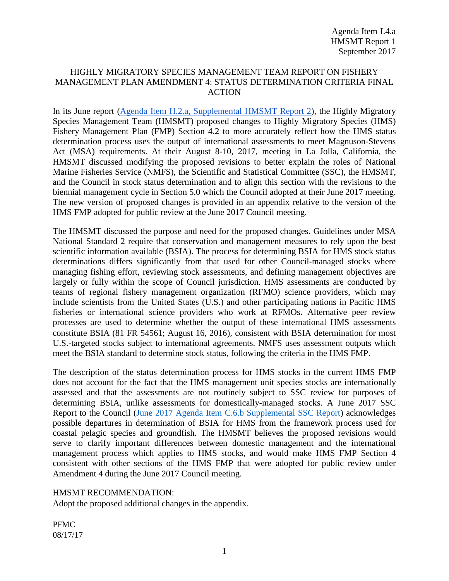### HIGHLY MIGRATORY SPECIES MANAGEMENT TEAM REPORT ON FISHERY MANAGEMENT PLAN AMENDMENT 4: STATUS DETERMINATION CRITERIA FINAL ACTION

In its June report [\(Agenda Item H.2.a, Supplemental HMSMT Report 2\)](http://www.pcouncil.org/wp-content/uploads/2017/06/H2a_Sup_HMSMT_Rpt2_June-2017BB.pdf), the Highly Migratory Species Management Team (HMSMT) proposed changes to Highly Migratory Species (HMS) Fishery Management Plan (FMP) Section 4.2 to more accurately reflect how the HMS status determination process uses the output of international assessments to meet Magnuson-Stevens Act (MSA) requirements. At their August 8-10, 2017, meeting in La Jolla, California, the HMSMT discussed modifying the proposed revisions to better explain the roles of National Marine Fisheries Service (NMFS), the Scientific and Statistical Committee (SSC), the HMSMT, and the Council in stock status determination and to align this section with the revisions to the biennial management cycle in Section 5.0 which the Council adopted at their June 2017 meeting. The new version of proposed changes is provided in an appendix relative to the version of the HMS FMP adopted for public review at the June 2017 Council meeting.

The HMSMT discussed the purpose and need for the proposed changes. Guidelines under MSA National Standard 2 require that conservation and management measures to rely upon the best scientific information available (BSIA). The process for determining BSIA for HMS stock status determinations differs significantly from that used for other Council-managed stocks where managing fishing effort, reviewing stock assessments, and defining management objectives are largely or fully within the scope of Council jurisdiction. HMS assessments are conducted by teams of regional fishery management organization (RFMO) science providers, which may include scientists from the United States (U.S.) and other participating nations in Pacific HMS fisheries or international science providers who work at RFMOs. Alternative peer review processes are used to determine whether the output of these international HMS assessments constitute BSIA (81 FR 54561; August 16, 2016), consistent with BSIA determination for most U.S.-targeted stocks subject to international agreements. NMFS uses assessment outputs which meet the BSIA standard to determine stock status, following the criteria in the HMS FMP.

The description of the status determination process for HMS stocks in the current HMS FMP does not account for the fact that the HMS management unit species stocks are internationally assessed and that the assessments are not routinely subject to SSC review for purposes of determining BSIA, unlike assessments for domestically-managed stocks. A June 2017 SSC Report to the Council [\(June 2017 Agenda Item C.6.b Supplemental SSC Report\)](http://www.pcouncil.org/wp-content/uploads/2017/06/C6b_Sup_SSC_Rpt_BSIA_June2017_Final_Jun2017BB.pdf) acknowledges possible departures in determination of BSIA for HMS from the framework process used for coastal pelagic species and groundfish. The HMSMT believes the proposed revisions would serve to clarify important differences between domestic management and the international management process which applies to HMS stocks, and would make HMS FMP Section 4 consistent with other sections of the HMS FMP that were adopted for public review under Amendment 4 during the June 2017 Council meeting.

### HMSMT RECOMMENDATION:

Adopt the proposed additional changes in the appendix.

PFMC 08/17/17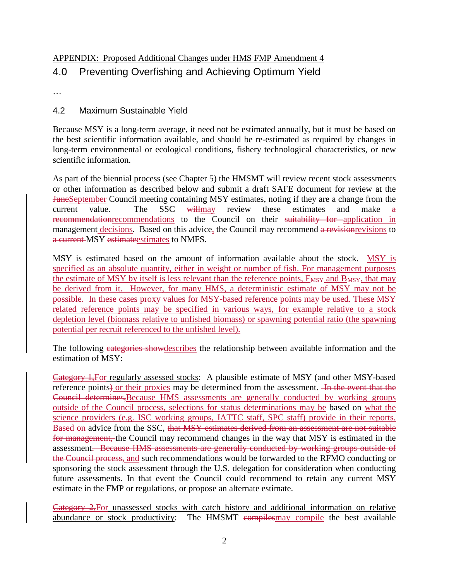## APPENDIX: Proposed Additional Changes under HMS FMP Amendment 4

# 4.0 Preventing Overfishing and Achieving Optimum Yield

…

## 4.2 Maximum Sustainable Yield

Because MSY is a long-term average, it need not be estimated annually, but it must be based on the best scientific information available, and should be re-estimated as required by changes in long-term environmental or ecological conditions, fishery technological characteristics, or new scientific information.

As part of the biennial process (see Chapter 5) the HMSMT will review recent stock assessments or other information as described below and submit a draft SAFE document for review at the JuneSeptember Council meeting containing MSY estimates, noting if they are a change from the current value. The SSC willmay review these estimates and make a recommendationrecommendations to the Council on their suitability for application in management decisions. Based on this advice, the Council may recommend a revision revisions to a current MSY estimateestimates to NMFS.

MSY is estimated based on the amount of information available about the stock. MSY is specified as an absolute quantity, either in weight or number of fish. For management purposes the estimate of MSY by itself is less relevant than the reference points,  $F_{MSY}$  and  $B_{MSY}$ , that may be derived from it. However, for many HMS, a deterministic estimate of MSY may not be possible. In these cases proxy values for MSY-based reference points may be used. These MSY related reference points may be specified in various ways, for example relative to a stock depletion level (biomass relative to unfished biomass) or spawning potential ratio (the spawning potential per recruit referenced to the unfished level).

The following categories showdescribes the relationship between available information and the estimation of MSY:

Category 1,For regularly assessed stocks: A plausible estimate of MSY (and other MSY-based reference points) or their proxies may be determined from the assessment. He the event that the Council determines,Because HMS assessments are generally conducted by working groups outside of the Council process, selections for status determinations may be based on what the science providers (e.g. ISC working groups, IATTC staff, SPC staff) provide in their reports. Based on advice from the SSC, that MSY estimates derived from an assessment are not suitable for management, the Council may recommend changes in the way that MSY is estimated in the assessment. Because HMS assessments are generally conducted by working groups outside of the Council process, and such recommendations would be forwarded to the RFMO conducting or sponsoring the stock assessment through the U.S. delegation for consideration when conducting future assessments. In that event the Council could recommend to retain any current MSY estimate in the FMP or regulations, or propose an alternate estimate.

Category 2,For unassessed stocks with catch history and additional information on relative abundance or stock productivity: The HMSMT compilesmay compile the best available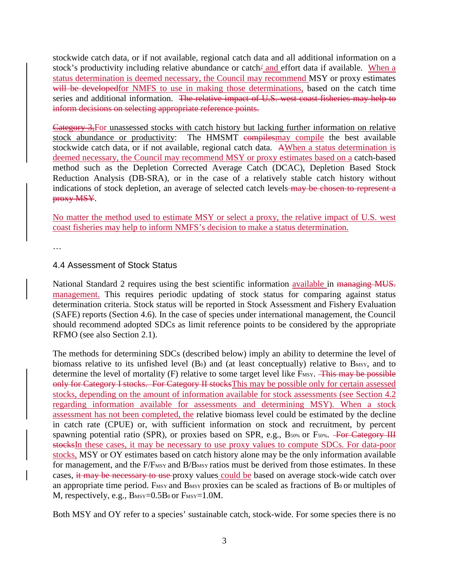stockwide catch data, or if not available, regional catch data and all additional information on a stock's productivity including relative abundance or catch/ and effort data if available. When a status determination is deemed necessary, the Council may recommend MSY or proxy estimates will be developed for NMFS to use in making those determinations, based on the catch time series and additional information. The relative impact of U.S. west coast fisheries may help to inform decisions on selecting appropriate reference points.

Category 3,For unassessed stocks with catch history but lacking further information on relative stock abundance or productivity: The HMSMT compilesmay compile the best available stockwide catch data, or if not available, regional catch data. AWhen a status determination is deemed necessary, the Council may recommend MSY or proxy estimates based on a catch-based method such as the Depletion Corrected Average Catch (DCAC), Depletion Based Stock Reduction Analysis (DB-SRA), or in the case of a relatively stable catch history without indications of stock depletion, an average of selected catch levels-may be chosen to represent a proxy MSY.

No matter the method used to estimate MSY or select a proxy, the relative impact of U.S. west coast fisheries may help to inform NMFS's decision to make a status determination.

…

#### 4.4 Assessment of Stock Status

National Standard 2 requires using the best scientific information available in managing MUS. management. This requires periodic updating of stock status for comparing against status determination criteria. Stock status will be reported in Stock Assessment and Fishery Evaluation (SAFE) reports (Section 4.6). In the case of species under international management, the Council should recommend adopted SDCs as limit reference points to be considered by the appropriate RFMO (see also Section 2.1).

The methods for determining SDCs (described below) imply an ability to determine the level of biomass relative to its unfished level  $(B<sub>0</sub>)$  and (at least conceptually) relative to B<sub>MSY</sub>, and to determine the level of mortality (F) relative to some target level like F<sub>MSY</sub>. This may be possible only for Category I stocks. For Category II stocksThis may be possible only for certain assessed stocks, depending on the amount of information available for stock assessments (see Section 4.2 regarding information available for assessments and determining MSY). When a stock assessment has not been completed, the relative biomass level could be estimated by the decline in catch rate (CPUE) or, with sufficient information on stock and recruitment, by percent spawning potential ratio (SPR), or proxies based on SPR, e.g., B<sub>50%</sub> or F<sub>50%</sub>. For Category III stocksIn these cases, it may be necessary to use proxy values to compute SDCs. For data-poor stocks, MSY or OY estimates based on catch history alone may be the only information available for management, and the F/F<sub>MSY</sub> and B/B<sub>MSY</sub> ratios must be derived from those estimates. In these cases, it may be necessary to use proxy values could be based on average stock-wide catch over an appropriate time period. F<sub>MSY</sub> and B<sub>MSY</sub> proxies can be scaled as fractions of B<sub>0</sub> or multiples of M, respectively, e.g.,  $B_{MSY}=0.5B_0$  or  $F_{MSY}=1.0M$ .

Both MSY and OY refer to a species' sustainable catch, stock-wide. For some species there is no